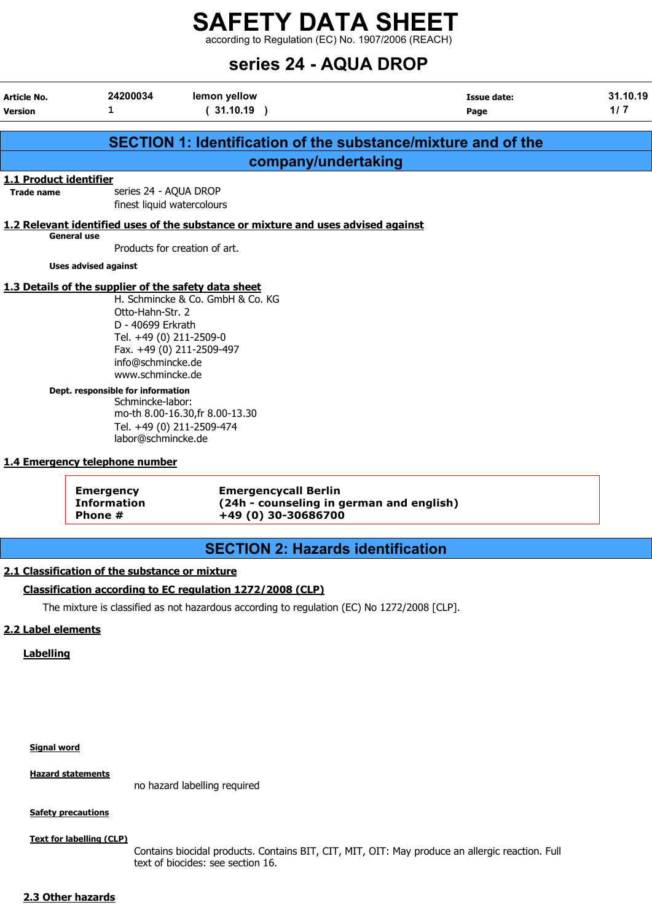according to Regulation (EC) No. 1907/2006 (REACH)

## series 24 - AQUA DROP

| Article No.            | 24200034                                             | lemon yellow                                                                      | <b>Issue date:</b>                                                   | 31.10.19 |
|------------------------|------------------------------------------------------|-----------------------------------------------------------------------------------|----------------------------------------------------------------------|----------|
| Version                | 1                                                    | (31.10.19)                                                                        | Page                                                                 | 1/7      |
|                        |                                                      |                                                                                   |                                                                      |          |
|                        |                                                      |                                                                                   | <b>SECTION 1: Identification of the substance/mixture and of the</b> |          |
|                        |                                                      | company/undertaking                                                               |                                                                      |          |
| 1.1 Product identifier |                                                      |                                                                                   |                                                                      |          |
| <b>Trade name</b>      | series 24 - AQUA DROP                                |                                                                                   |                                                                      |          |
|                        | finest liquid watercolours                           |                                                                                   |                                                                      |          |
|                        |                                                      | 1.2 Relevant identified uses of the substance or mixture and uses advised against |                                                                      |          |
|                        | <b>General use</b>                                   | Products for creation of art.                                                     |                                                                      |          |
|                        |                                                      |                                                                                   |                                                                      |          |
|                        | <b>Uses advised against</b>                          |                                                                                   |                                                                      |          |
|                        | 1.3 Details of the supplier of the safety data sheet |                                                                                   |                                                                      |          |
|                        |                                                      | H. Schmincke & Co. GmbH & Co. KG                                                  |                                                                      |          |
|                        | Otto-Hahn-Str. 2                                     |                                                                                   |                                                                      |          |
|                        | D - 40699 Erkrath                                    |                                                                                   |                                                                      |          |
|                        | Tel. +49 (0) 211-2509-0                              |                                                                                   |                                                                      |          |
|                        |                                                      | Fax. +49 (0) 211-2509-497                                                         |                                                                      |          |
|                        | info@schmincke.de                                    |                                                                                   |                                                                      |          |
|                        | www.schmincke.de                                     |                                                                                   |                                                                      |          |
|                        | Dept. responsible for information                    |                                                                                   |                                                                      |          |
|                        | Schmincke-labor:                                     |                                                                                   |                                                                      |          |
|                        |                                                      | mo-th 8.00-16.30, fr 8.00-13.30                                                   |                                                                      |          |
|                        |                                                      | Tel. +49 (0) 211-2509-474                                                         |                                                                      |          |
|                        | labor@schmincke.de                                   |                                                                                   |                                                                      |          |
|                        | 1.4 Emergency telephone number                       |                                                                                   |                                                                      |          |
|                        |                                                      |                                                                                   |                                                                      |          |
|                        | <b>Emergency</b>                                     | <b>Emergencycall Berlin</b>                                                       |                                                                      |          |
|                        | <b>Information</b>                                   |                                                                                   | (24h - counseling in german and english)                             |          |
|                        | Phone #                                              | +49 (0) 30-30686700                                                               |                                                                      |          |
|                        |                                                      |                                                                                   |                                                                      |          |
|                        |                                                      | <b>SECTION 2: Hazards identification</b>                                          |                                                                      |          |

#### 2.1 Classification of the substance or mixture

#### Classification according to EC regulation 1272/2008 (CLP)

The mixture is classified as not hazardous according to regulation (EC) No 1272/2008 [CLP].

#### 2.2 Label elements

Labelling

#### Signal word

Hazard statements

no hazard labelling required

#### **Safety precautions**

Text for labelling (CLP)

Contains biocidal products. Contains BIT, CIT, MIT, OIT: May produce an allergic reaction. Full text of biocides: see section 16.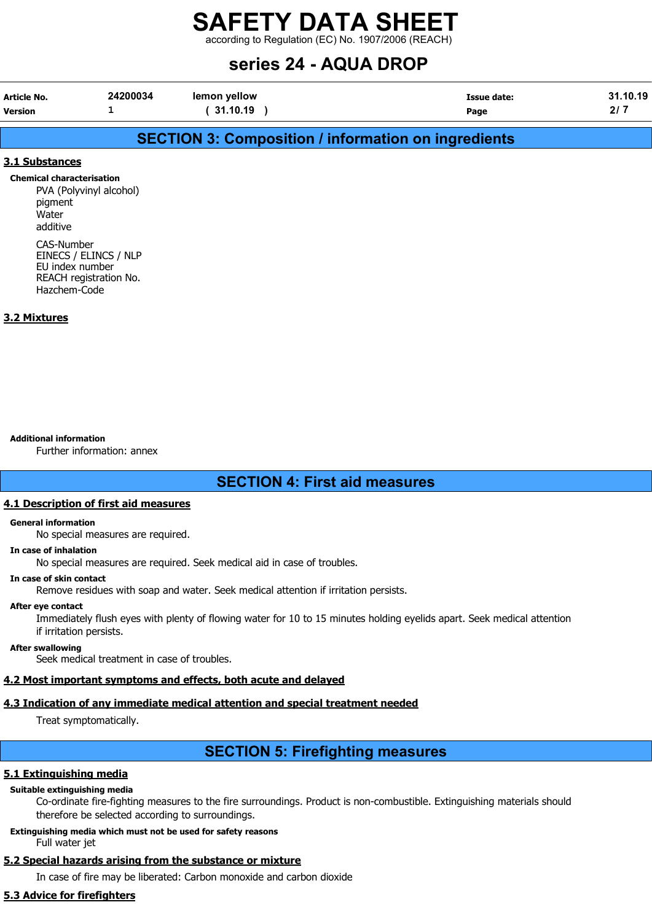according to Regulation (EC) No. 1907/2006 (REACH)

## series 24 - AQUA DROP

| Article No. | 24200034 | lemon yellow | <b>Issue date:</b> | 31.10.19  |
|-------------|----------|--------------|--------------------|-----------|
| Version     |          | 31.10.19     | Page               | <u>^'</u> |

## SECTION 3: Composition / information on ingredients

#### 3.1 Substances

Chemical characterisation PVA (Polyvinyl alcohol) pigment Water additive CAS-Number

EINECS / ELINCS / NLP EU index number REACH registration No. Hazchem-Code

#### 3.2 Mixtures

#### Additional information

Further information: annex

## SECTION 4: First aid measures

#### 4.1 Description of first aid measures

#### General information

No special measures are required.

#### In case of inhalation

No special measures are required. Seek medical aid in case of troubles.

#### In case of skin contact

Remove residues with soap and water. Seek medical attention if irritation persists.

#### After eye contact

Immediately flush eyes with plenty of flowing water for 10 to 15 minutes holding eyelids apart. Seek medical attention if irritation persists.

#### After swallowing

Seek medical treatment in case of troubles.

#### 4.2 Most important symptoms and effects, both acute and delayed

## 4.3 Indication of any immediate medical attention and special treatment needed

Treat symptomatically.

## SECTION 5: Firefighting measures

### 5.1 Extinguishing media

### Suitable extinguishing media

Co-ordinate fire-fighting measures to the fire surroundings. Product is non-combustible. Extinguishing materials should therefore be selected according to surroundings.

#### Extinguishing media which must not be used for safety reasons Full water jet

## 5.2 Special hazards arising from the substance or mixture

In case of fire may be liberated: Carbon monoxide and carbon dioxide

## 5.3 Advice for firefighters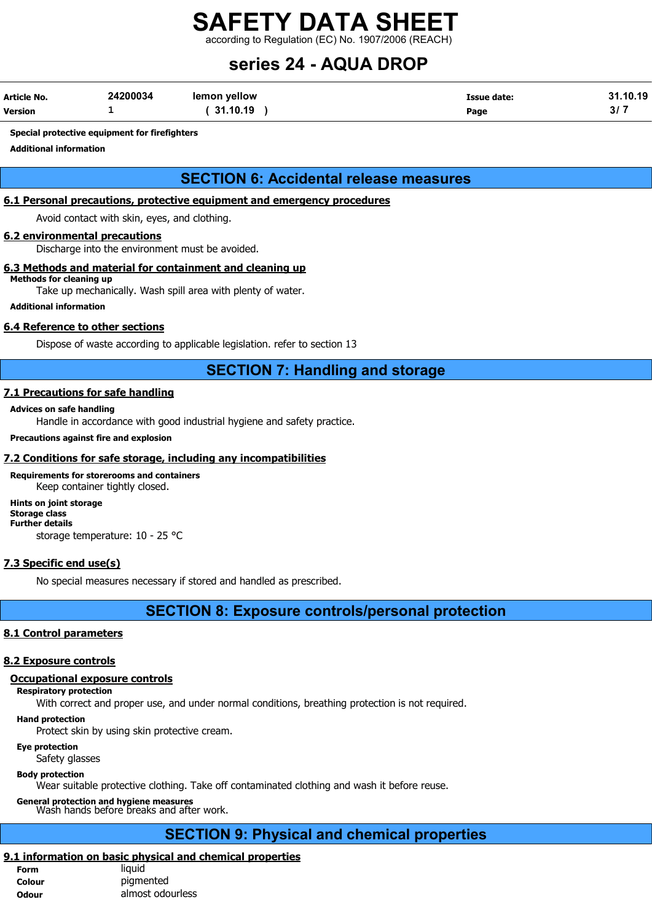according to Regulation (EC) No. 1907/2006 (REACH)

## series 24 - AQUA DROP

| Article No.    | 24200034 | lemon yellow | Issue date: | .10.19<br>31 |
|----------------|----------|--------------|-------------|--------------|
| <b>Version</b> | -        | 31.10.19     | Page        | ີ<br>o,      |

#### Special protective equipment for firefighters

Additional information

## SECTION 6: Accidental release measures

#### 6.1 Personal precautions, protective equipment and emergency procedures

Avoid contact with skin, eyes, and clothing.

#### 6.2 environmental precautions

Discharge into the environment must be avoided.

#### 6.3 Methods and material for containment and cleaning up

Methods for cleaning up Take up mechanically. Wash spill area with plenty of water.

Additional information

#### 6.4 Reference to other sections

Dispose of waste according to applicable legislation. refer to section 13

## SECTION 7: Handling and storage

#### 7.1 Precautions for safe handling

#### Advices on safe handling

Handle in accordance with good industrial hygiene and safety practice.

#### Precautions against fire and explosion

#### 7.2 Conditions for safe storage, including any incompatibilities

Requirements for storerooms and containers Keep container tightly closed.

Hints on joint storage Storage class Further details storage temperature: 10 - 25 °C

#### 7.3 Specific end use(s)

No special measures necessary if stored and handled as prescribed.

### SECTION 8: Exposure controls/personal protection

#### 8.1 Control parameters

#### 8.2 Exposure controls

#### Occupational exposure controls

#### Respiratory protection

With correct and proper use, and under normal conditions, breathing protection is not required.

#### Hand protection

Protect skin by using skin protective cream.

#### Eye protection

Safety glasses

#### Body protection

Wear suitable protective clothing. Take off contaminated clothing and wash it before reuse.

General protection and hygiene measures Wash hands before breaks and after work.

## SECTION 9: Physical and chemical properties

## 9.1 information on basic physical and chemical properties

| Form         | liauid           |
|--------------|------------------|
| Colour       | pigmented        |
| <b>Odour</b> | almost odourless |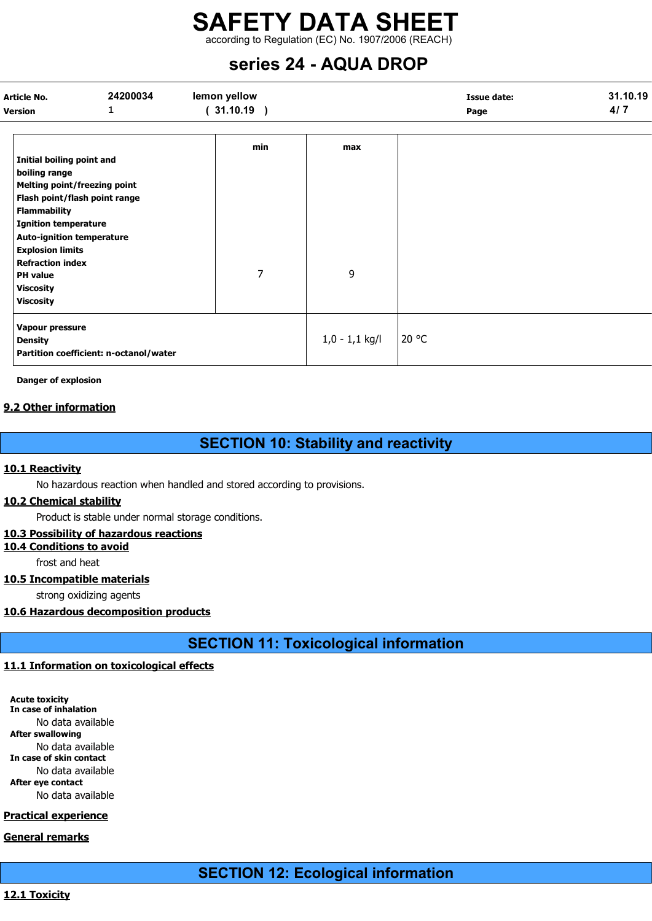according to Regulation (EC) No. 1907/2006 (REACH)

## series 24 - AQUA DROP

| Article No.<br><b>Version</b>                                                                                                                                                                                                                                                                                          | 24200034<br>1                          | lemon yellow<br>(31.10.19) |                  | <b>Issue date:</b><br>Page | 31.10.19<br>4/7 |
|------------------------------------------------------------------------------------------------------------------------------------------------------------------------------------------------------------------------------------------------------------------------------------------------------------------------|----------------------------------------|----------------------------|------------------|----------------------------|-----------------|
| Initial boiling point and<br>boiling range<br>Melting point/freezing point<br>Flash point/flash point range<br><b>Flammability</b><br><b>Ignition temperature</b><br><b>Auto-ignition temperature</b><br><b>Explosion limits</b><br><b>Refraction index</b><br><b>PH</b> value<br><b>Viscosity</b><br><b>Viscosity</b> |                                        | min<br>$\overline{7}$      | max<br>9         |                            |                 |
| Vapour pressure<br><b>Density</b>                                                                                                                                                                                                                                                                                      | Partition coefficient: n-octanol/water |                            | $1,0 - 1,1$ kg/l | 20 °C                      |                 |

Danger of explosion

#### 9.2 Other information

## SECTION 10: Stability and reactivity

#### 10.1 Reactivity

No hazardous reaction when handled and stored according to provisions.

#### 10.2 Chemical stability

Product is stable under normal storage conditions.

#### 10.3 Possibility of hazardous reactions

10.4 Conditions to avoid

frost and heat

#### 10.5 Incompatible materials

strong oxidizing agents

## 10.6 Hazardous decomposition products

SECTION 11: Toxicological information

## 11.1 Information on toxicological effects

Acute toxicity In case of inhalation No data available After swallowing No data available In case of skin contact No data available After eye contact No data available

### Practical experience

## General remarks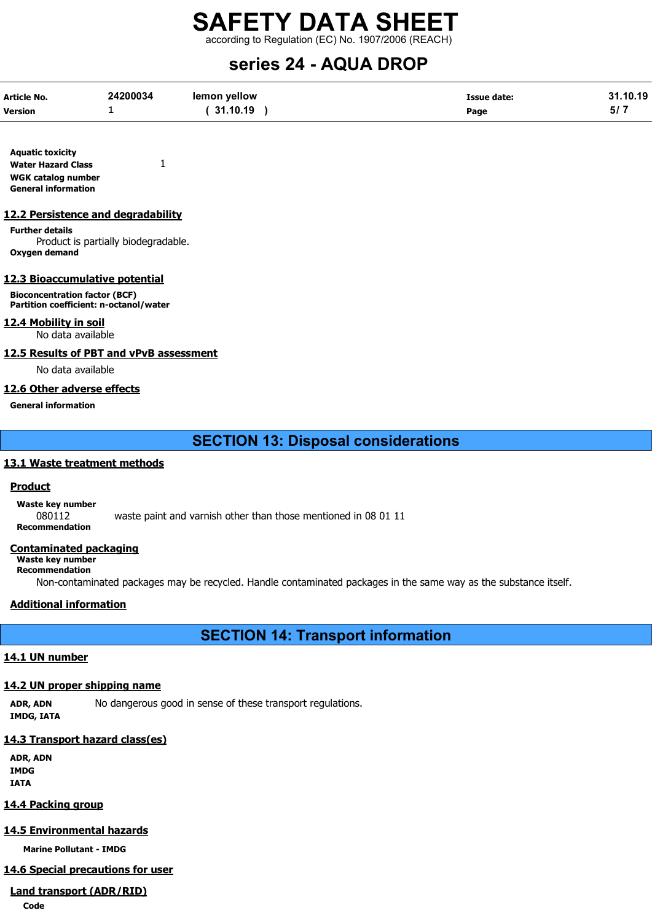according to Regulation (EC) No. 1907/2006 (REACH)

## series 24 - AQUA DROP

| <b>Article No.</b> | 24200034 | lemon vellow | <b>Issue date:</b> | 31.10.19 |
|--------------------|----------|--------------|--------------------|----------|
| <b>Version</b>     | -        | 31.10.19     | Page               |          |

Aquatic toxicity Water Hazard Class 1 WGK catalog number General information

#### 12.2 Persistence and degradability

Further details Product is partially biodegradable. Oxygen demand

#### 12.3 Bioaccumulative potential

Bioconcentration factor (BCF) Partition coefficient: n-octanol/water

12.4 Mobility in soil

No data available

#### 12.5 Results of PBT and vPvB assessment

No data available

#### 12.6 Other adverse effects

#### General information

SECTION 13: Disposal considerations

#### 13.1 Waste treatment methods

#### **Product**

Waste key number

080112 waste paint and varnish other than those mentioned in 08 01 11

Recommendation

#### Contaminated packaging

Waste key number Recommendation

Non-contaminated packages may be recycled. Handle contaminated packages in the same way as the substance itself.

#### Additional information

SECTION 14: Transport information

#### 14.1 UN number

#### 14.2 UN proper shipping name

ADR, ADN No dangerous good in sense of these transport regulations. IMDG, IATA

#### 14.3 Transport hazard class(es)

ADR, ADN IMDG IATA

#### 14.4 Packing group

#### 14.5 Environmental hazards

Marine Pollutant - IMDG

#### 14.6 Special precautions for user

## Land transport (ADR/RID)

Code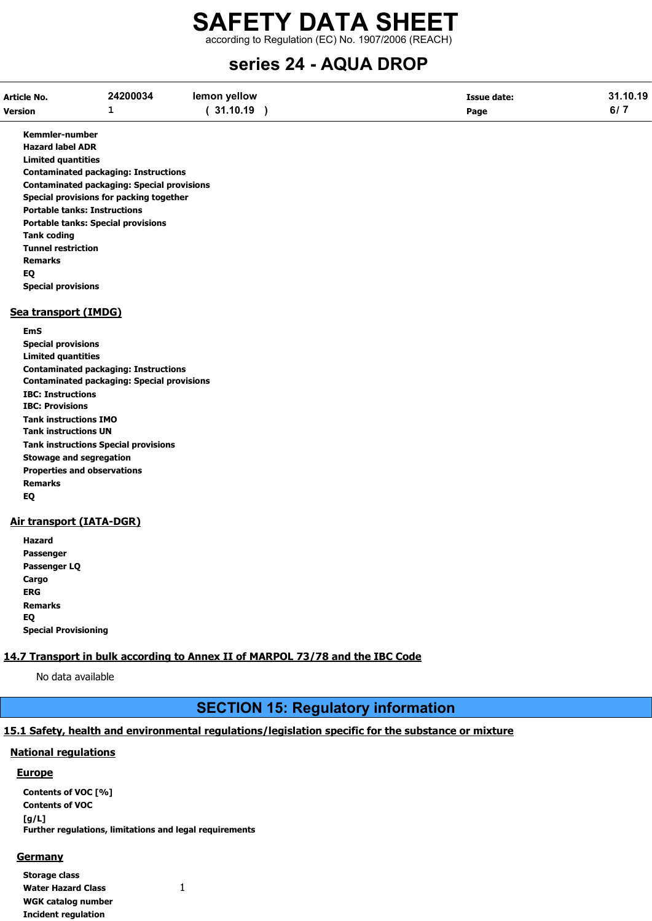according to Regulation (EC) No. 1907/2006 (REACH)

## series 24 - AQUA DROP

| <b>If a constitution of a constitution</b> |          |              |                    |          |
|--------------------------------------------|----------|--------------|--------------------|----------|
| <b>Version</b>                             |          | 31.10.19     | Page               | 6/7      |
| Article No.                                | 24200034 | lemon yellow | <b>Issue date:</b> | 31.10.19 |

Kemmler-number Hazard label ADR Limited quantities Contaminated packaging: Instructions Contaminated packaging: Special provisions Special provisions for packing together Portable tanks: Instructions Portable tanks: Special provisions Tank coding Tunnel restriction Remarks EQ Special provisions

#### Sea transport (IMDG)

EmS Special provisions Limited quantities Contaminated packaging: Instructions Contaminated packaging: Special provisions IBC: Instructions IBC: Provisions Tank instructions IMO Tank instructions UN Tank instructions Special provisions Stowage and segregation Properties and observations Remarks EQ

#### Air transport (IATA-DGR)

Hazard Passenger Passenger LQ Cargo ERG Remarks EQ Special Provisioning

### 14.7 Transport in bulk according to Annex II of MARPOL 73/78 and the IBC Code

No data available

## SECTION 15: Regulatory information

## 15.1 Safety, health and environmental regulations/legislation specific for the substance or mixture

## National regulations

### Europe

Contents of VOC [%] Contents of VOC [g/L] Further regulations, limitations and legal requirements

### **Germany**

Storage class Water Hazard Class 1 WGK catalog number Incident regulation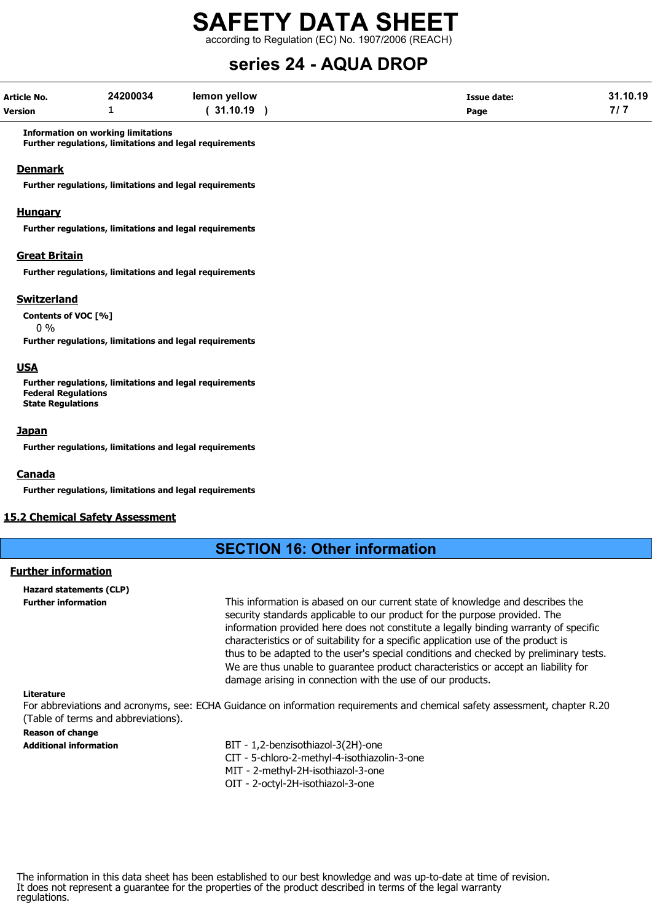according to Regulation (EC) No. 1907/2006 (REACH)

## series 24 - AQUA DROP

| <b>Article No.</b> | 24200034 | lemon yellow | <b>Issue date:</b> | 31.10.19 |
|--------------------|----------|--------------|--------------------|----------|
| <b>Version</b>     | -        | 31.10.19     | Page               |          |

Information on working limitations Further regulations, limitations and legal requirements

#### Denmark

Further regulations, limitations and legal requirements

#### **Hungary**

Further regulations, limitations and legal requirements

#### Great Britain

Further regulations, limitations and legal requirements

#### **Switzerland**

Contents of VOC [%]

0 %

Further regulations, limitations and legal requirements

#### USA

Further regulations, limitations and legal requirements Federal Regulations State Regulations

#### Japan

Further regulations, limitations and legal requirements

#### Canada

Further regulations, limitations and legal requirements

#### 15.2 Chemical Safety Assessment

## SECTION 16: Other information

#### Further information

Hazard statements (CLP)

Further information This information is abased on our current state of knowledge and describes the security standards applicable to our product for the purpose provided. The information provided here does not constitute a legally binding warranty of specific characteristics or of suitability for a specific application use of the product is thus to be adapted to the user's special conditions and checked by preliminary tests. We are thus unable to guarantee product characteristics or accept an liability for damage arising in connection with the use of our products.

#### Literature

For abbreviations and acronyms, see: ECHA Guidance on information requirements and chemical safety assessment, chapter R.20 (Table of terms and abbreviations).

#### Reason of change

- Additional information **BIT 1,2-benzisothiazol-3(2H)-one** 
	- CIT 5-chloro-2-methyl-4-isothiazolin-3-one
	- MIT 2-methyl-2H-isothiazol-3-one
	- OIT 2-octyl-2H-isothiazol-3-one

The information in this data sheet has been established to our best knowledge and was up-to-date at time of revision. It does not represent a guarantee for the properties of the product described in terms of the legal warranty regulations.